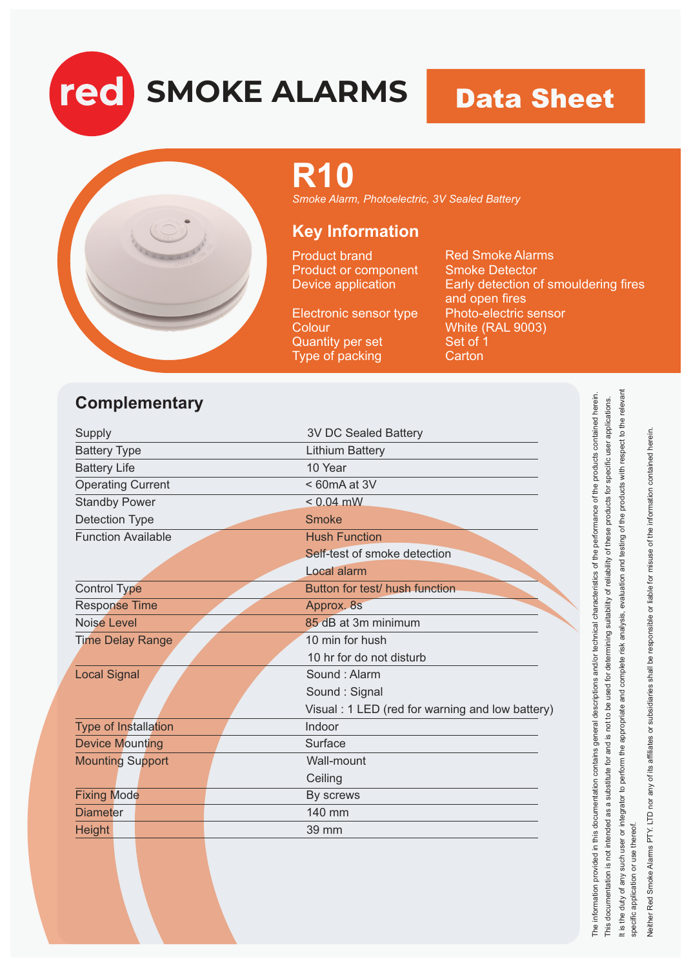**SMOKE ALARMS**

### **Data Sheet**



red

## **R10**

*Smoke Alarm, Photoelectric, 3V Sealed Battery*

#### **Key Information**

Product brand Product or component Device application

Electronic sensor type **Colour** Quantity per set Type of packing

Red Smoke Alarms Smoke Detector Early detection of smouldering fires and open fires Photo-electric sensor White (RAL 9003) Set of 1 **Carton** 

#### **Complementary**

| <b>3V DC Sealed Battery</b>                     |
|-------------------------------------------------|
| <b>Lithium Battery</b>                          |
|                                                 |
|                                                 |
|                                                 |
|                                                 |
| <b>Hush Function</b>                            |
| Self-test of smoke detection                    |
|                                                 |
| Button for test/ hush function                  |
|                                                 |
| 85 dB at 3m minimum                             |
| 10 min for hush                                 |
| 10 hr for do not disturb                        |
| Sound: Alarm                                    |
| Sound: Signal                                   |
| Visual: 1 LED (red for warning and low battery) |
|                                                 |
|                                                 |
|                                                 |
|                                                 |
|                                                 |
|                                                 |
|                                                 |
| $< 60mA$ at 3V                                  |

it is the duty of any such user or integrator to perform the appropriate and complete risk analysis, evaluation and testing of the products with respect to the relevant It is the duty of any such user or integrator to perform the appropriate and complete risk analysis, evaluation and testing of the products with respect to the relevant Neither Red Smoke Alarms PTY. LTD nor any of its affiliates or subsidiaries shall be responsible or liable for misuse of the information contained herein. Neither Red Smoke Alarms PTY. LTD nor any of its affiliates or subsidiaries shall be responsible or liable for misuse of the information contained herein specific application or use thereof. specific application or use thereof.

The information provided in this documentation contains general descriptions and/or technical characteristics of the performance of the products contained herein. This documentation is not intended as a substitute for and is not to be used for determining suitability of reliability of these products for specific user applications.

The information provided in this documentation contains general descriptions and/or technical characteristics of the performance of the products contained herein This documentation is not intended as a substitute for and is not to be used for determining suitability of reliability of these products for specific user applications.